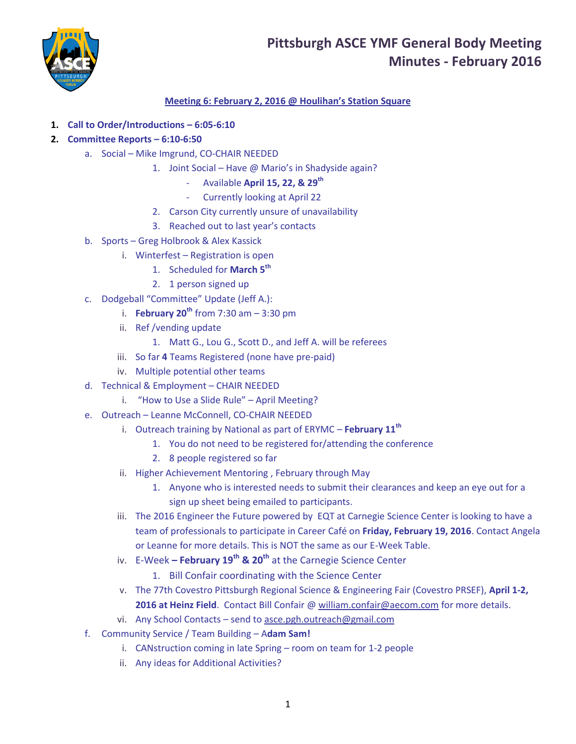## **Pittsburgh ASCE YMF General Body Meeting Minutes - February 2016**



### **Meeting 6: February 2, 2016 @ Houlihan's Station Square**

- **1. Call to Order/Introductions – 6:05-6:10**
- **2. Committee Reports – 6:10-6:50**
	- a. Social Mike Imgrund, CO-CHAIR NEEDED
		- 1. Joint Social Have @ Mario's in Shadyside again?
			- Available **April 15, 22, & 29th**
				- Currently looking at April 22
			- 2. Carson City currently unsure of unavailability
			- 3. Reached out to last year's contacts
	- b. Sports Greg Holbrook & Alex Kassick
		- i. Winterfest Registration is open
			- 1. Scheduled for **March 5th**
			- 2. 1 person signed up
	- c. Dodgeball "Committee" Update (Jeff A.):
		- i. **February 20th** from 7:30 am 3:30 pm
		- ii. Ref /vending update
			- 1. Matt G., Lou G., Scott D., and Jeff A. will be referees
		- iii. So far **4** Teams Registered (none have pre-paid)
		- iv. Multiple potential other teams
	- d. Technical & Employment CHAIR NEEDED
		- i. "How to Use a Slide Rule" April Meeting?
	- e. Outreach Leanne McConnell, CO-CHAIR NEEDED
		- i. Outreach training by National as part of ERYMC **February 11th**
			- 1. You do not need to be registered for/attending the conference
			- 2. 8 people registered so far
		- ii. Higher Achievement Mentoring , February through May
			- 1. Anyone who is interested needs to submit their clearances and keep an eye out for a sign up sheet being emailed to participants.
		- iii. The 2016 Engineer the Future powered by EQT at Carnegie Science Center is looking to have a team of professionals to participate in Career Café on **Friday, February 19, 2016**. Contact Angela or Leanne for more details. This is NOT the same as our E-Week Table.
		- iv. E-Week **– February 19th & 20th** at the Carnegie Science Center
			- 1. Bill Confair coordinating with the Science Center
		- v. The 77th Covestro Pittsburgh Regional Science & Engineering Fair (Covestro PRSEF), **April 1-2, 2016 at Heinz Field**. Contact Bill Confair [@ william.confair@aecom.com](mailto:william.confair@aecom.com) for more details.
		- vi. Any School Contacts send to [asce.pgh.outreach@gmail.com](mailto:asce.pgh.outreach@gmail.com)
	- f. Community Service / Team Building A**dam Sam!** 
		- i. CANstruction coming in late Spring room on team for 1-2 people
		- ii. Any ideas for Additional Activities?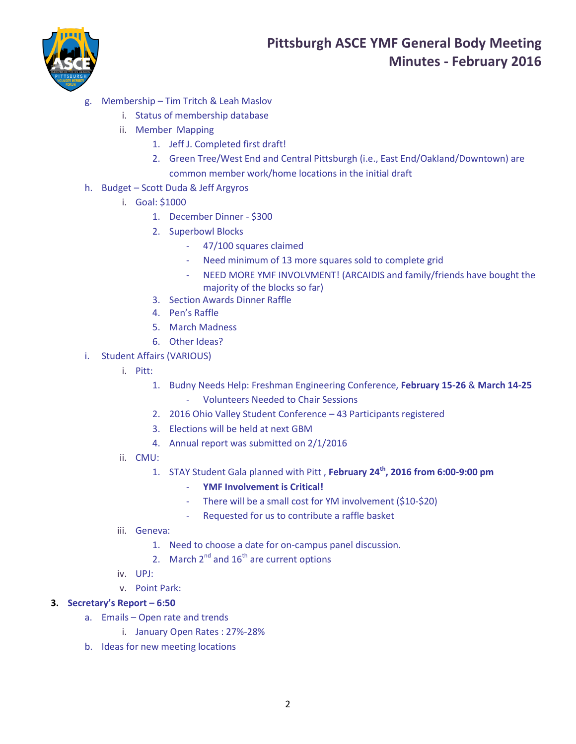



- g. Membership Tim Tritch & Leah Maslov
	- i. Status of membership database
	- ii. Member Mapping
		- 1. Jeff J. Completed first draft!
		- 2. Green Tree/West End and Central Pittsburgh (i.e., East End/Oakland/Downtown) are common member work/home locations in the initial draft
- h. Budget Scott Duda & Jeff Argyros
	- i. Goal: \$1000
		- 1. December Dinner \$300
		- 2. Superbowl Blocks
			- 47/100 squares claimed
			- Need minimum of 13 more squares sold to complete grid
			- NEED MORE YMF INVOLVMENT! (ARCAIDIS and family/friends have bought the majority of the blocks so far)
		- 3. Section Awards Dinner Raffle
		- 4. Pen's Raffle
		- 5. March Madness
		- 6. Other Ideas?
- i. Student Affairs (VARIOUS)
	- i. Pitt:
		- 1. Budny Needs Help: Freshman Engineering Conference, **February 15-26** & **March 14-25**
			- Volunteers Needed to Chair Sessions
		- 2. 2016 Ohio Valley Student Conference 43 Participants registered
		- 3. Elections will be held at next GBM
		- 4. Annual report was submitted on 2/1/2016
	- ii. CMU:
		- 1. STAY Student Gala planned with Pitt , **February 24th, 2016 from 6:00-9:00 pm**
			- **YMF Involvement is Critical!**
			- There will be a small cost for YM involvement (\$10-\$20)
			- Requested for us to contribute a raffle basket
	- iii. Geneva:
		- 1. Need to choose a date for on-campus panel discussion.
		- 2. March  $2^{nd}$  and  $16^{th}$  are current options
	- iv. UPJ:
	- v. Point Park:

#### **3. Secretary's Report – 6:50**

- a. Emails Open rate and trends
	- i. January Open Rates : 27%-28%
- b. Ideas for new meeting locations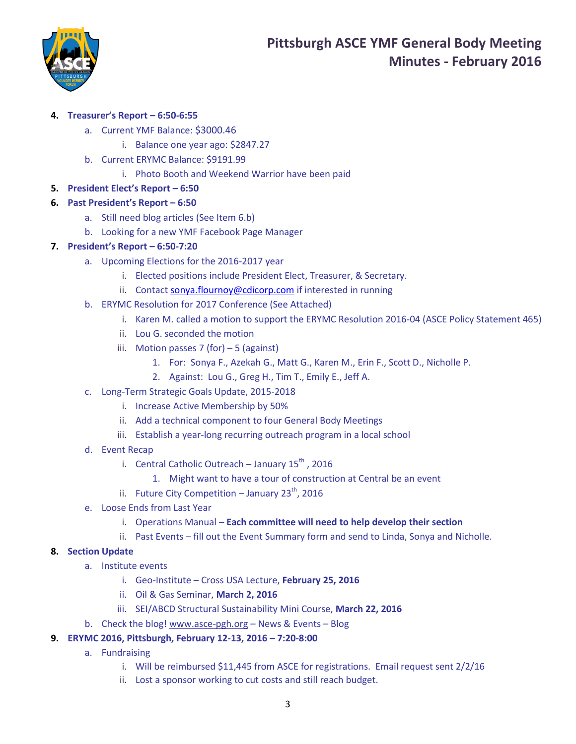

### **4. Treasurer's Report – 6:50-6:55**

- a. Current YMF Balance: \$3000.46
	- i. Balance one year ago: \$2847.27
- b. Current ERYMC Balance: \$9191.99
	- i. Photo Booth and Weekend Warrior have been paid

#### **5. President Elect's Report – 6:50**

#### **6. Past President's Report – 6:50**

- a. Still need blog articles (See Item 6.b)
- b. Looking for a new YMF Facebook Page Manager

#### **7. President's Report – 6:50-7:20**

- a. Upcoming Elections for the 2016-2017 year
	- i. Elected positions include President Elect, Treasurer, & Secretary.
	- ii. Contact [sonya.flournoy@cdicorp.com](mailto:sonya.flournoy@cdicorp.com) if interested in running
- b. ERYMC Resolution for 2017 Conference (See Attached)
	- i. Karen M. called a motion to support the ERYMC Resolution 2016-04 (ASCE Policy Statement 465)
	- ii. Lou G. seconded the motion
	- iii. Motion passes 7 (for)  $-5$  (against)
		- 1. For: Sonya F., Azekah G., Matt G., Karen M., Erin F., Scott D., Nicholle P.
		- 2. Against: Lou G., Greg H., Tim T., Emily E., Jeff A.
- c. Long-Term Strategic Goals Update, 2015-2018
	- i. Increase Active Membership by 50%
	- ii. Add a technical component to four General Body Meetings
	- iii. Establish a year-long recurring outreach program in a local school
- d. Event Recap
	- i. Central Catholic Outreach January  $15^{th}$ , 2016
		- 1. Might want to have a tour of construction at Central be an event
	- ii. Future City Competition January  $23^{th}$ , 2016
- e. Loose Ends from Last Year
	- i. Operations Manual **Each committee will need to help develop their section**
	- ii. Past Events fill out the Event Summary form and send to Linda, Sonya and Nicholle.

#### **8. Section Update**

- a. Institute events
	- i. Geo-Institute Cross USA Lecture, **February 25, 2016**
	- ii. Oil & Gas Seminar, **March 2, 2016**
	- iii. SEI/ABCD Structural Sustainability Mini Course, **March 22, 2016**
- b. Check the blog! [www.asce-pgh.org](http://www.asce-pgh.org/) News & Events Blog
- **9. ERYMC 2016, Pittsburgh, February 12-13, 2016 – 7:20-8:00**
	- a. Fundraising
		- i. Will be reimbursed \$11,445 from ASCE for registrations. Email request sent 2/2/16
		- ii. Lost a sponsor working to cut costs and still reach budget.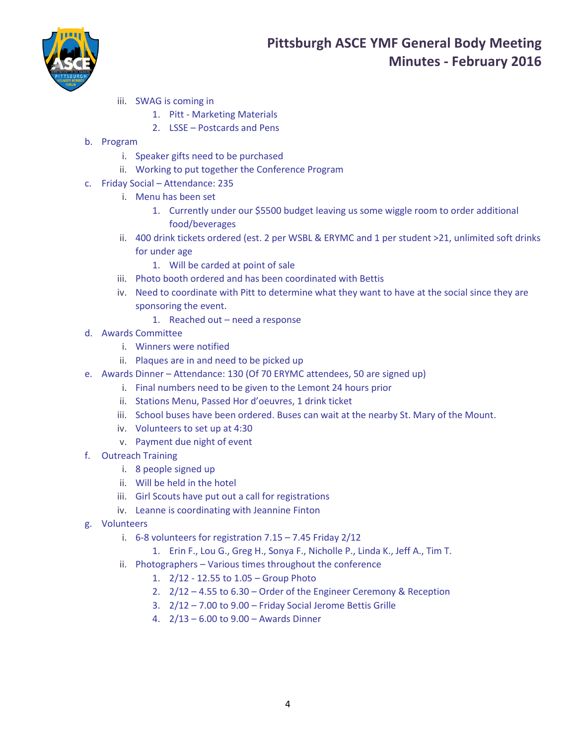

- iii. SWAG is coming in
	- 1. Pitt Marketing Materials
	- 2. LSSE Postcards and Pens
- b. Program
	- i. Speaker gifts need to be purchased
	- ii. Working to put together the Conference Program
- c. Friday Social Attendance: 235
	- i. Menu has been set
		- 1. Currently under our \$5500 budget leaving us some wiggle room to order additional food/beverages
	- ii. 400 drink tickets ordered (est. 2 per WSBL & ERYMC and 1 per student >21, unlimited soft drinks for under age
		- 1. Will be carded at point of sale
	- iii. Photo booth ordered and has been coordinated with Bettis
	- iv. Need to coordinate with Pitt to determine what they want to have at the social since they are sponsoring the event.
		- 1. Reached out need a response
- d. Awards Committee
	- i. Winners were notified
	- ii. Plaques are in and need to be picked up
- e. Awards Dinner Attendance: 130 (Of 70 ERYMC attendees, 50 are signed up)
	- i. Final numbers need to be given to the Lemont 24 hours prior
	- ii. Stations Menu, Passed Hor d'oeuvres, 1 drink ticket
	- iii. School buses have been ordered. Buses can wait at the nearby St. Mary of the Mount.
	- iv. Volunteers to set up at 4:30
	- v. Payment due night of event
- f. Outreach Training
	- i. 8 people signed up
	- ii. Will be held in the hotel
	- iii. Girl Scouts have put out a call for registrations
	- iv. Leanne is coordinating with Jeannine Finton
- g. Volunteers
	- i. 6-8 volunteers for registration 7.15 7.45 Friday 2/12
		- 1. Erin F., Lou G., Greg H., Sonya F., Nicholle P., Linda K., Jeff A., Tim T.
	- ii. Photographers Various times throughout the conference
		- 1. 2/12 12.55 to 1.05 Group Photo
		- 2. 2/12 4.55 to 6.30 Order of the Engineer Ceremony & Reception
		- 3. 2/12 7.00 to 9.00 Friday Social Jerome Bettis Grille
		- 4. 2/13 6.00 to 9.00 Awards Dinner